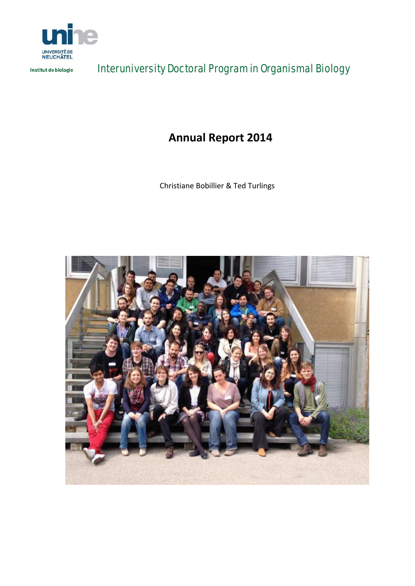

Institut de biologie

Interuniversity Doctoral Program in Organismal Biology

**Annual Report 2014**

Christiane Bobillier & Ted Turlings

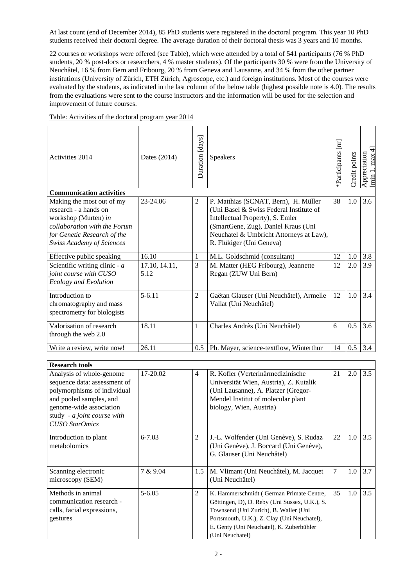At last count (end of December 2014), 85 PhD students were registered in the doctoral program. This year 10 PhD students received their doctoral degree. The average duration of their doctoral thesis was 3 years and 10 months.

22 courses or workshops were offered (see Table), which were attended by a total of 541 participants (76 % PhD students, 20 % post-docs or researchers, 4 % master students). Of the participants 30 % were from the University of Neuchâtel, 16 % from Bern and Fribourg, 20 % from Geneva and Lausanne, and 34 % from the other partner institutions (University of Zürich, ETH Zürich, Agroscope, etc.) and foreign institutions. Most of the courses were evaluated by the students, as indicated in the last column of the below table (highest possible note is 4.0). The results from the evaluations were sent to the course instructors and the information will be used for the selection and improvement of future courses.

| Activities 2014                                                                                                                                                               | Dates (2014)          | Duration [days] | <b>Speakers</b>                                                                                                                                                                                                                   | Participants [m] | redit points | $\pm$<br>Appreciation<br>Imin 1. max 4 |
|-------------------------------------------------------------------------------------------------------------------------------------------------------------------------------|-----------------------|-----------------|-----------------------------------------------------------------------------------------------------------------------------------------------------------------------------------------------------------------------------------|------------------|--------------|----------------------------------------|
| <b>Communication activities</b>                                                                                                                                               |                       |                 |                                                                                                                                                                                                                                   |                  |              |                                        |
| Making the most out of my<br>research - a hands on<br>workshop (Murten) in<br>collaboration with the Forum<br>for Genetic Research of the<br><b>Swiss Academy of Sciences</b> | 23-24.06              | 2               | P. Matthias (SCNAT, Bern), H. Müller<br>(Uni Basel & Swiss Federal Institute of<br>Intellectual Property), S. Emler<br>(SmartGene, Zug), Daniel Kraus (Uni<br>Neuchatel & Umbricht Attorneys at Law),<br>R. Flükiger (Uni Geneva) | 38               | 1.0          | 3.6                                    |
| Effective public speaking                                                                                                                                                     | 16.10                 | 1               | M.L. Goldschmid (consultant)                                                                                                                                                                                                      | 12               | 1.0          | 3.8                                    |
| Scientific writing clinic - $a$<br>joint course with CUSO<br><b>Ecology and Evolution</b>                                                                                     | 17.10, 14.11,<br>5.12 | 3               | M. Matter (HEG Fribourg), Jeannette<br>Regan (ZUW Uni Bern)                                                                                                                                                                       | 12               | 2.0          | 3.9                                    |
| Introduction to<br>chromatography and mass<br>spectrometry for biologists                                                                                                     | $5 - 6.11$            | $\overline{2}$  | Gaëtan Glauser (Uni Neuchâtel), Armelle<br>Vallat (Uni Neuchâtel)                                                                                                                                                                 | 12               | 1.0          | 3.4                                    |
| Valorisation of research<br>through the web 2.0                                                                                                                               | 18.11                 | $\mathbf{1}$    | Charles Andrès (Uni Neuchâtel)                                                                                                                                                                                                    | 6                | 0.5          | 3.6                                    |
| Write a review, write now!                                                                                                                                                    | 26.11                 | 0.5             | Ph. Mayer, science-textflow, Winterthur                                                                                                                                                                                           | 14               | 0.5          | 3.4                                    |

Table: Activities of the doctoral program year 2014

| <b>Research tools</b>                                                                                                                                                                                 |            |     |                                                                                                                                                                                                                                                  |    |     |     |
|-------------------------------------------------------------------------------------------------------------------------------------------------------------------------------------------------------|------------|-----|--------------------------------------------------------------------------------------------------------------------------------------------------------------------------------------------------------------------------------------------------|----|-----|-----|
| Analysis of whole-genome<br>sequence data: assessment of<br>polymorphisms of individual<br>and pooled samples, and<br>genome-wide association<br>study - a joint course with<br><b>CUSO</b> StarOmics | 17-20.02   | 4   | R. Kofler (Verterinärmedizinische<br>Universität Wien, Austria), Z. Kutalik<br>(Uni Lausanne), A. Platzer (Gregor-<br>Mendel Institut of molecular plant<br>biology, Wien, Austria)                                                              | 21 | 2.0 | 3.5 |
| Introduction to plant<br>metabolomics                                                                                                                                                                 | $6 - 7.03$ | 2   | J.-L. Wolfender (Uni Genève), S. Rudaz<br>(Uni Genève), J. Boccard (Uni Genève),<br>G. Glauser (Uni Neuchâtel)                                                                                                                                   | 22 | 1.0 | 3.5 |
| Scanning electronic<br>microscopy (SEM)                                                                                                                                                               | 7 & 9.04   | 1.5 | M. Vlimant (Uni Neuchâtel), M. Jacquet<br>(Uni Neuchâtel)                                                                                                                                                                                        | 7  | 1.0 | 3.7 |
| Methods in animal<br>communication research -<br>calls, facial expressions,<br>gestures                                                                                                               | $5 - 6.05$ | 2   | K. Hammerschmidt (German Primate Centre,<br>Göttingen, D), D. Reby (Uni Sussex, U.K.), S.<br>Townsend (Uni Zurich), B. Waller (Uni<br>Portsmouth, U.K.), Z. Clay (Uni Neuchatel),<br>E. Genty (Uni Neuchatel), K. Zuberbühler<br>(Uni Neuchatel) | 35 | 1.0 | 3.5 |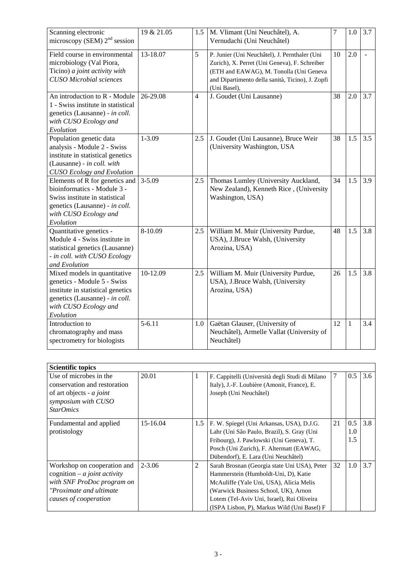| Scanning electronic<br>microscopy (SEM) $2nd$ session                                                                                                                    | 19 & 21.05 | 1.5            | M. Vlimant (Uni Neuchâtel), A.<br>Vernudachi (Uni Neuchâtel)                                                                                                                                                  | 7  | 1.0 | 3.7    |
|--------------------------------------------------------------------------------------------------------------------------------------------------------------------------|------------|----------------|---------------------------------------------------------------------------------------------------------------------------------------------------------------------------------------------------------------|----|-----|--------|
| Field course in environmental<br>microbiology (Val Piora,<br>Ticino) a joint activity with<br><b>CUSO</b> Microbial sciences                                             | 13-18.07   | 5              | P. Junier (Uni Neuchâtel), J. Pernthaler (Uni<br>Zurich), X. Perret (Uni Geneva), F. Schreiber<br>(ETH and EAWAG), M. Tonolla (Uni Geneva<br>and Dipartimento della sanità, Ticino), J. Zopfi<br>(Uni Basel), | 10 | 2.0 | $\sim$ |
| An introduction to R - Module<br>1 - Swiss institute in statistical<br>genetics (Lausanne) - in coll.<br>with CUSO Ecology and<br>Evolution                              | 26-29.08   | $\overline{4}$ | J. Goudet (Uni Lausanne)                                                                                                                                                                                      | 38 | 2.0 | 3.7    |
| Population genetic data<br>analysis - Module 2 - Swiss<br>institute in statistical genetics<br>(Lausanne) - in coll. with<br><b>CUSO</b> Ecology and Evolution           | $1 - 3.09$ | 2.5            | J. Goudet (Uni Lausanne), Bruce Weir<br>(University Washington, USA                                                                                                                                           | 38 | 1.5 | 3.5    |
| Elements of R for genetics and<br>bioinformatics - Module 3 -<br>Swiss institute in statistical<br>genetics (Lausanne) - in coll.<br>with CUSO Ecology and<br>Evolution  | $3 - 5.09$ | 2.5            | Thomas Lumley (University Auckland,<br>New Zealand), Kenneth Rice, (University<br>Washington, USA)                                                                                                            | 34 | 1.5 | 3.9    |
| Quantitative genetics -<br>Module 4 - Swiss institute in<br>statistical genetics (Lausanne)<br>- in coll. with CUSO Ecology<br>and Evolution                             | 8-10.09    | 2.5            | William M. Muir (University Purdue,<br>USA), J.Bruce Walsh, (University<br>Arozina, USA)                                                                                                                      | 48 | 1.5 | 3.8    |
| Mixed models in quantitative<br>genetics - Module 5 - Swiss<br>institute in statistical genetics<br>genetics (Lausanne) - in coll.<br>with CUSO Ecology and<br>Evolution | 10-12.09   | 2.5            | William M. Muir (University Purdue,<br>USA), J.Bruce Walsh, (University<br>Arozina, USA)                                                                                                                      | 26 | 1.5 | 3.8    |
| Introduction to<br>chromatography and mass<br>spectrometry for biologists                                                                                                | $5 - 6.11$ | 1.0            | Gaëtan Glauser, (University of<br>Neuchâtel), Armelle Vallat (University of<br>Neuchâtel)                                                                                                                     | 12 | 1   | 3.4    |

| <b>Scientific topics</b>                                                                                                                               |            |     |                                                                                                                                                                                                                                                                      |    |                   |     |
|--------------------------------------------------------------------------------------------------------------------------------------------------------|------------|-----|----------------------------------------------------------------------------------------------------------------------------------------------------------------------------------------------------------------------------------------------------------------------|----|-------------------|-----|
| Use of microbes in the<br>conservation and restoration<br>of art objects - $a$ joint<br>symposium with CUSO<br><b>StarOmics</b>                        | 20.01      |     | F. Cappitelli (Università degli Studi di Milano<br>Italy), J.-F. Loubière (Amonit, France), E.<br>Joseph (Uni Neuchâtel)                                                                                                                                             | 7  | 0.5               | 3.6 |
| Fundamental and applied<br>protistology                                                                                                                | 15-16.04   | 1.5 | F. W. Spiegel (Uni Arkansas, USA), D.J.G.<br>Lahr (Uni São Paulo, Brazil), S. Gray (Uni<br>Fribourg), J. Pawlowski (Uni Geneva), T.<br>Posch (Uni Zurich), F. Altermatt (EAWAG,<br>Dübendorf), E. Lara (Uni Neuchâtel)                                               | 21 | 0.5<br>1.0<br>1.5 | 3.8 |
| Workshop on cooperation and<br>cognition $-a$ <i>joint activity</i><br>with SNF ProDoc program on<br>"Proximate and ultimate"<br>causes of cooperation | $2 - 3.06$ | 2   | Sarah Brosnan (Georgia state Uni USA), Peter<br>Hammerstein (Humboldt-Uni, D), Katie<br>McAuliffe (Yale Uni, USA), Alicia Melis<br>(Warwick Business School, UK), Arnon<br>Lotem (Tel-Aviv Uni, Israel), Rui Oliveira<br>(ISPA Lisbon, P), Markus Wild (Uni Basel) F | 32 | 1.0               | 3.7 |